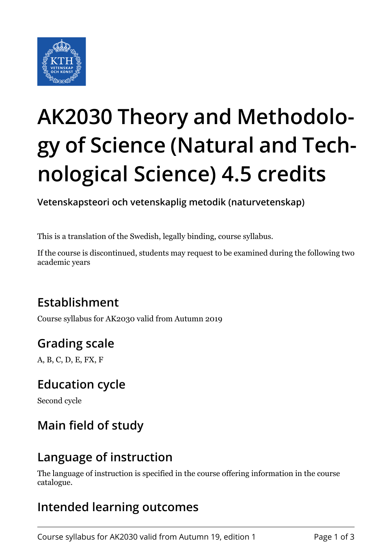

# **AK2030 Theory and Methodology of Science (Natural and Technological Science) 4.5 credits**

**Vetenskapsteori och vetenskaplig metodik (naturvetenskap)**

This is a translation of the Swedish, legally binding, course syllabus.

If the course is discontinued, students may request to be examined during the following two academic years

# **Establishment**

Course syllabus for AK2030 valid from Autumn 2019

# **Grading scale**

A, B, C, D, E, FX, F

## **Education cycle**

Second cycle

# **Main field of study**

## **Language of instruction**

The language of instruction is specified in the course offering information in the course catalogue.

# **Intended learning outcomes**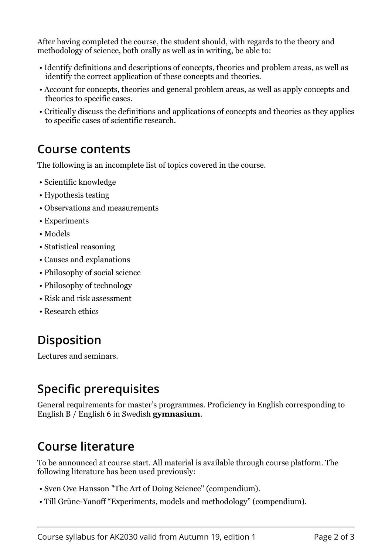After having completed the course, the student should, with regards to the theory and methodology of science, both orally as well as in writing, be able to:

- Identify definitions and descriptions of concepts, theories and problem areas, as well as identify the correct application of these concepts and theories.
- Account for concepts, theories and general problem areas, as well as apply concepts and theories to specific cases.
- Critically discuss the definitions and applications of concepts and theories as they applies to specific cases of scientific research.

#### **Course contents**

The following is an incomplete list of topics covered in the course.

- Scientific knowledge
- Hypothesis testing
- Observations and measurements
- Experiments
- Models
- Statistical reasoning
- Causes and explanations
- Philosophy of social science
- Philosophy of technology
- Risk and risk assessment
- Research ethics

# **Disposition**

Lectures and seminars.

# **Specific prerequisites**

General requirements for master's programmes. Proficiency in English corresponding to English B / English 6 in Swedish **gymnasium**.

## **Course literature**

To be announced at course start. All material is available through course platform. The following literature has been used previously:

- Sven Ove Hansson "The Art of Doing Science" (compendium).
- Till Grüne-Yanoff "Experiments, models and methodology" (compendium).